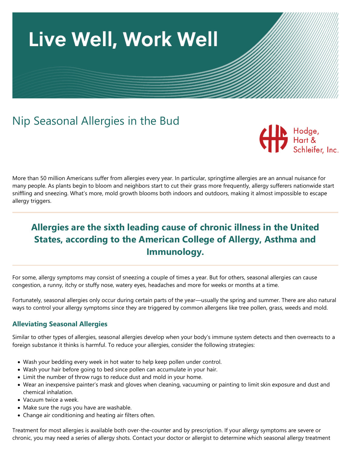

# Nip Seasonal Allergies in the Bud



More than 50 million Americans suffer from allergies every year. In particular, springtime allergies are an annual nuisance for many people. As plants begin to bloom and neighbors start to cut their grass more frequently, allergy sufferers nationwide start sniffling and sneezing. What's more, mold growth blooms both indoors and outdoors, making it almost impossible to escape allergy triggers.

# **Allergies are the sixth leading cause of chronic illness in the United States, according to the American College of Allergy, Asthma and Immunology.**

For some, allergy symptoms may consist of sneezing a couple of times a year. But for others, seasonal allergies can cause congestion, a runny, itchy or stuffy nose, watery eyes, headaches and more for weeks or months at a time.

Fortunately, seasonal allergies only occur during certain parts of the year—usually the spring and summer. There are also natural ways to control your allergy symptoms since they are triggered by common allergens like tree pollen, grass, weeds and mold.

## **Alleviating Seasonal Allergies**

Similar to other types of allergies, seasonal allergies develop when your body's immune system detects and then overreacts to a foreign substance it thinks is harmful. To reduce your allergies, consider the following strategies:

- Wash your bedding every week in hot water to help keep pollen under control.
- Wash your hair before going to bed since pollen can accumulate in your hair.
- Limit the number of throw rugs to reduce dust and mold in your home.
- Wear an inexpensive painter's mask and gloves when cleaning, vacuuming or painting to limit skin exposure and dust and chemical inhalation.
- Vacuum twice a week.
- Make sure the rugs you have are washable.
- Change air conditioning and heating air filters often.

Treatment for most allergies is available both over-the-counter and by prescription. If your allergy symptoms are severe or chronic, you may need a series of allergy shots. Contact your doctor or allergist to determine which seasonal allergy treatment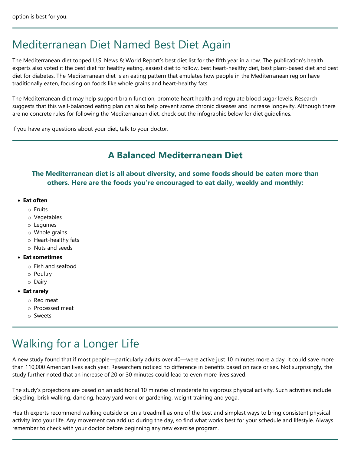# Mediterranean Diet Named Best Diet Again

The Mediterranean diet topped U.S. News & World Report's best diet list for the fifth year in a row. The publication's health experts also voted it the best diet for healthy eating, easiest diet to follow, best heart-healthy diet, best plant-based diet and best diet for diabetes. The Mediterranean diet is an eating pattern that emulates how people in the Mediterranean region have traditionally eaten, focusing on foods like whole grains and heart-healthy fats.

The Mediterranean diet may help support brain function, promote heart health and regulate blood sugar levels. Research suggests that this well-balanced eating plan can also help prevent some chronic diseases and increase longevity. Although there are no concrete rules for following the Mediterranean diet, check out the infographic below for diet guidelines.

If you have any questions about your diet, talk to your doctor.

## **A Balanced Mediterranean Diet**

## **The Mediterranean diet is all about diversity, and some foods should be eaten more than others. Here are the foods you're encouraged to eat daily, weekly and monthly:**

#### • **Eat often**

- o Fruits
- o Vegetables
- o Legumes
- o Whole grains
- o Heart-healthy fats
- o Nuts and seeds

#### • **Eat sometimes**

- o Fish and seafood
- o Poultry
- o Dairy
- **Eat rarely**
	- o Red meat
	- o Processed meat
	- o Sweets

# Walking for a Longer Life

A new study found that if most people—particularly adults over 40—were active just 10 minutes more a day, it could save more than 110,000 American lives each year. Researchers noticed no difference in benefits based on race or sex. Not surprisingly, the study further noted that an increase of 20 or 30 minutes could lead to even more lives saved.

The study's projections are based on an additional 10 minutes of moderate to vigorous physical activity. Such activities include bicycling, brisk walking, dancing, heavy yard work or gardening, weight training and yoga.

Health experts recommend walking outside or on a treadmill as one of the best and simplest ways to bring consistent physical activity into your life. Any movement can add up during the day, so find what works best for your schedule and lifestyle. Always remember to check with your doctor before beginning any new exercise program.